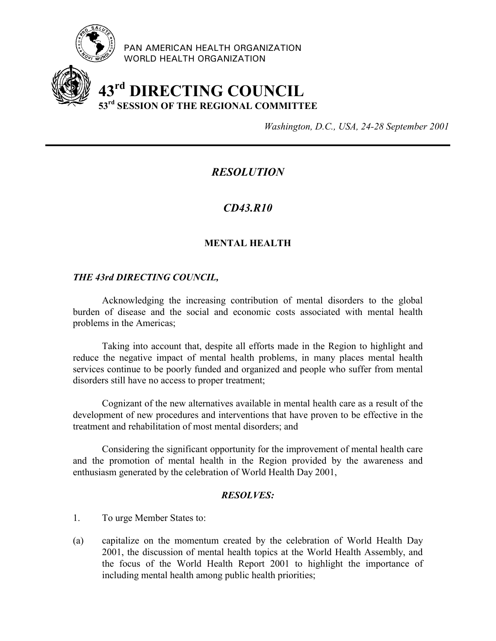

PAN AMERICAN HEALTH ORGANIZATION WORLD HEALTH ORGANIZATION

# **43rd DIRECTING COUNCIL 53rd SESSION OF THE REGIONAL COMMITTEE**

*Washington, D.C., USA, 24-28 September 2001*

# *RESOLUTION*

## *CD43.R10*

## **MENTAL HEALTH**

### *THE 43rd DIRECTING COUNCIL,*

Acknowledging the increasing contribution of mental disorders to the global burden of disease and the social and economic costs associated with mental health problems in the Americas;

Taking into account that, despite all efforts made in the Region to highlight and reduce the negative impact of mental health problems, in many places mental health services continue to be poorly funded and organized and people who suffer from mental disorders still have no access to proper treatment;

Cognizant of the new alternatives available in mental health care as a result of the development of new procedures and interventions that have proven to be effective in the treatment and rehabilitation of most mental disorders; and

Considering the significant opportunity for the improvement of mental health care and the promotion of mental health in the Region provided by the awareness and enthusiasm generated by the celebration of World Health Day 2001,

### *RESOLVES:*

- 1. To urge Member States to:
- (a) capitalize on the momentum created by the celebration of World Health Day 2001, the discussion of mental health topics at the World Health Assembly, and the focus of the World Health Report 2001 to highlight the importance of including mental health among public health priorities;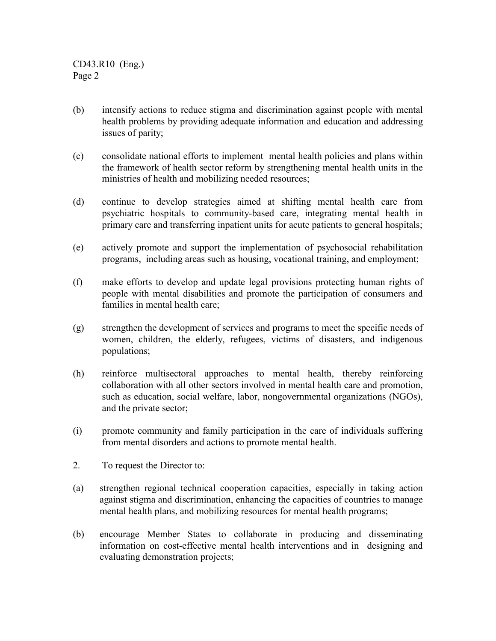CD43.R10 (Eng.) Page 2

- (b) intensify actions to reduce stigma and discrimination against people with mental health problems by providing adequate information and education and addressing issues of parity;
- (c) consolidate national efforts to implement mental health policies and plans within the framework of health sector reform by strengthening mental health units in the ministries of health and mobilizing needed resources;
- (d) continue to develop strategies aimed at shifting mental health care from psychiatric hospitals to community-based care, integrating mental health in primary care and transferring inpatient units for acute patients to general hospitals;
- (e) actively promote and support the implementation of psychosocial rehabilitation programs, including areas such as housing, vocational training, and employment;
- (f) make efforts to develop and update legal provisions protecting human rights of people with mental disabilities and promote the participation of consumers and families in mental health care;
- (g) strengthen the development of services and programs to meet the specific needs of women, children, the elderly, refugees, victims of disasters, and indigenous populations;
- (h) reinforce multisectoral approaches to mental health, thereby reinforcing collaboration with all other sectors involved in mental health care and promotion, such as education, social welfare, labor, nongovernmental organizations (NGOs), and the private sector;
- (i) promote community and family participation in the care of individuals suffering from mental disorders and actions to promote mental health.
- 2. To request the Director to:
- (a) strengthen regional technical cooperation capacities, especially in taking action against stigma and discrimination, enhancing the capacities of countries to manage mental health plans, and mobilizing resources for mental health programs;
- (b) encourage Member States to collaborate in producing and disseminating information on cost-effective mental health interventions and in designing and evaluating demonstration projects;